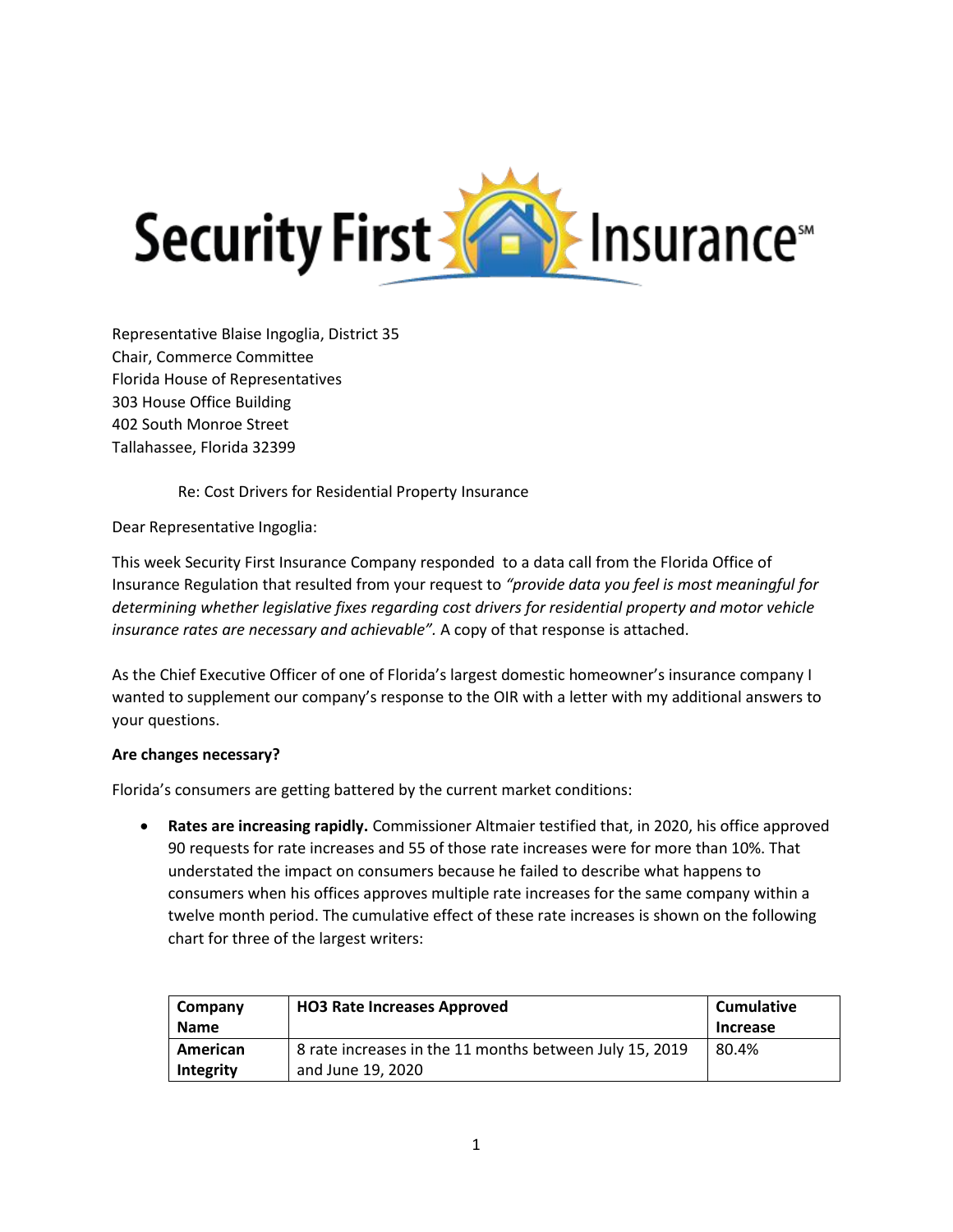

Representative Blaise Ingoglia, District 35 Chair, Commerce Committee Florida House of Representatives 303 House Office Building 402 South Monroe Street Tallahassee, Florida 32399

Re: Cost Drivers for Residential Property Insurance

Dear Representative Ingoglia:

This week Security First Insurance Company responded to a data call from the Florida Office of Insurance Regulation that resulted from your request to *"provide data you feel is most meaningful for determining whether legislative fixes regarding cost drivers for residential property and motor vehicle insurance rates are necessary and achievable".* A copy of that response is attached.

As the Chief Executive Officer of one of Florida's largest domestic homeowner's insurance company I wanted to supplement our company's response to the OIR with a letter with my additional answers to your questions.

## **Are changes necessary?**

Florida's consumers are getting battered by the current market conditions:

• **Rates are increasing rapidly.** Commissioner Altmaier testified that, in 2020, his office approved 90 requests for rate increases and 55 of those rate increases were for more than 10%. That understated the impact on consumers because he failed to describe what happens to consumers when his offices approves multiple rate increases for the same company within a twelve month period. The cumulative effect of these rate increases is shown on the following chart for three of the largest writers:

| Company<br><b>Name</b> | <b>HO3 Rate Increases Approved</b>                      | <b>Cumulative</b><br>Increase |
|------------------------|---------------------------------------------------------|-------------------------------|
| American               | 8 rate increases in the 11 months between July 15, 2019 | 80.4%                         |
| Integrity              | and June 19, 2020                                       |                               |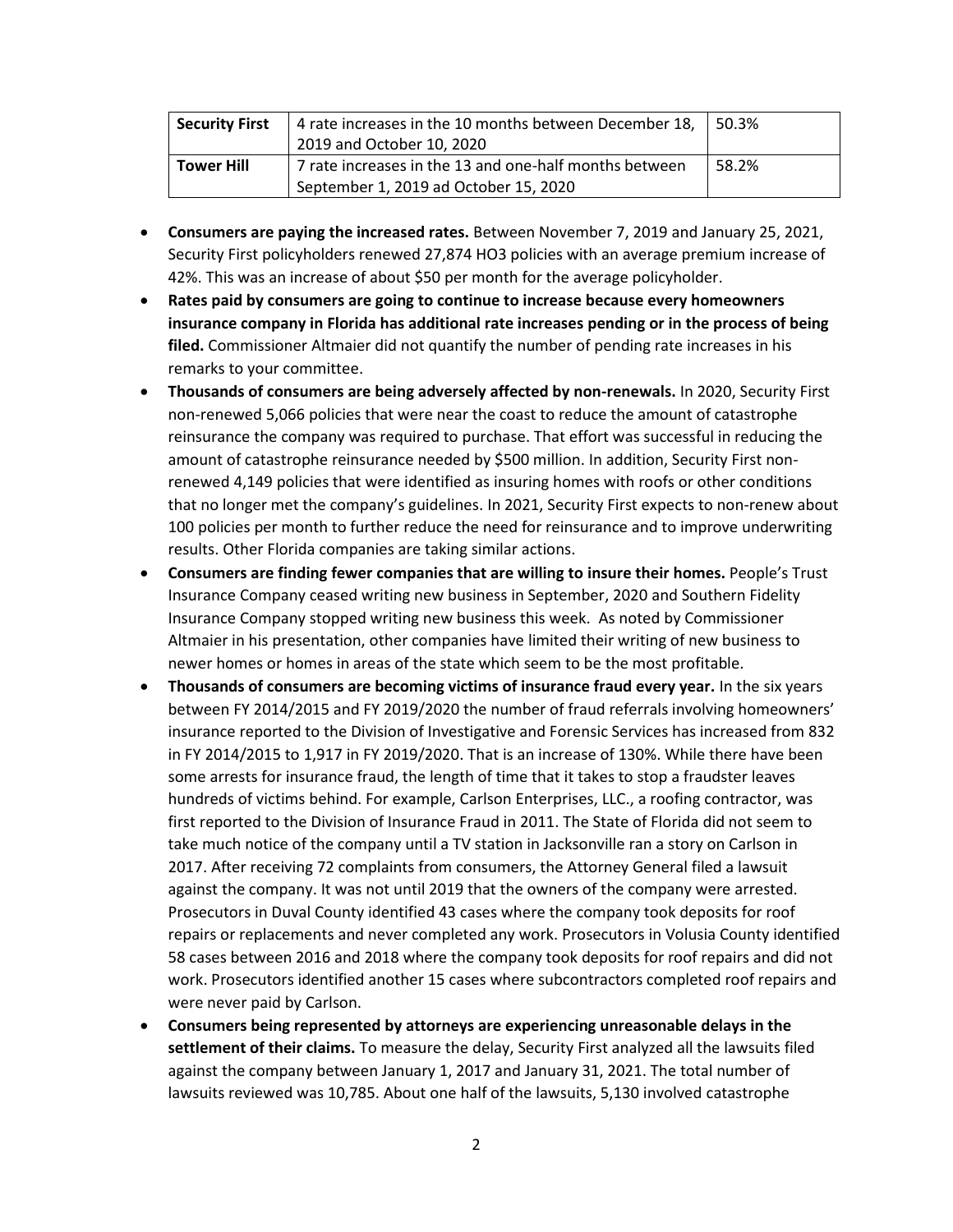| <b>Security First</b> | 4 rate increases in the 10 months between December 18,<br>2019 and October 10, 2020             | 50.3% |
|-----------------------|-------------------------------------------------------------------------------------------------|-------|
| <b>Tower Hill</b>     | 7 rate increases in the 13 and one-half months between<br>September 1, 2019 ad October 15, 2020 | 58.2% |

- **Consumers are paying the increased rates.** Between November 7, 2019 and January 25, 2021, Security First policyholders renewed 27,874 HO3 policies with an average premium increase of 42%. This was an increase of about \$50 per month for the average policyholder.
- **Rates paid by consumers are going to continue to increase because every homeowners insurance company in Florida has additional rate increases pending or in the process of being filed.** Commissioner Altmaier did not quantify the number of pending rate increases in his remarks to your committee.
- **Thousands of consumers are being adversely affected by non-renewals.** In 2020, Security First non-renewed 5,066 policies that were near the coast to reduce the amount of catastrophe reinsurance the company was required to purchase. That effort was successful in reducing the amount of catastrophe reinsurance needed by \$500 million. In addition, Security First nonrenewed 4,149 policies that were identified as insuring homes with roofs or other conditions that no longer met the company's guidelines. In 2021, Security First expects to non-renew about 100 policies per month to further reduce the need for reinsurance and to improve underwriting results. Other Florida companies are taking similar actions.
- **Consumers are finding fewer companies that are willing to insure their homes.** People's Trust Insurance Company ceased writing new business in September, 2020 and Southern Fidelity Insurance Company stopped writing new business this week. As noted by Commissioner Altmaier in his presentation, other companies have limited their writing of new business to newer homes or homes in areas of the state which seem to be the most profitable.
- **Thousands of consumers are becoming victims of insurance fraud every year.** In the six years between FY 2014/2015 and FY 2019/2020 the number of fraud referrals involving homeowners' insurance reported to the Division of Investigative and Forensic Services has increased from 832 in FY 2014/2015 to 1,917 in FY 2019/2020. That is an increase of 130%. While there have been some arrests for insurance fraud, the length of time that it takes to stop a fraudster leaves hundreds of victims behind. For example, Carlson Enterprises, LLC., a roofing contractor, was first reported to the Division of Insurance Fraud in 2011. The State of Florida did not seem to take much notice of the company until a TV station in Jacksonville ran a story on Carlson in 2017. After receiving 72 complaints from consumers, the Attorney General filed a lawsuit against the company. It was not until 2019 that the owners of the company were arrested. Prosecutors in Duval County identified 43 cases where the company took deposits for roof repairs or replacements and never completed any work. Prosecutors in Volusia County identified 58 cases between 2016 and 2018 where the company took deposits for roof repairs and did not work. Prosecutors identified another 15 cases where subcontractors completed roof repairs and were never paid by Carlson.
- **Consumers being represented by attorneys are experiencing unreasonable delays in the settlement of their claims.** To measure the delay, Security First analyzed all the lawsuits filed against the company between January 1, 2017 and January 31, 2021. The total number of lawsuits reviewed was 10,785. About one half of the lawsuits, 5,130 involved catastrophe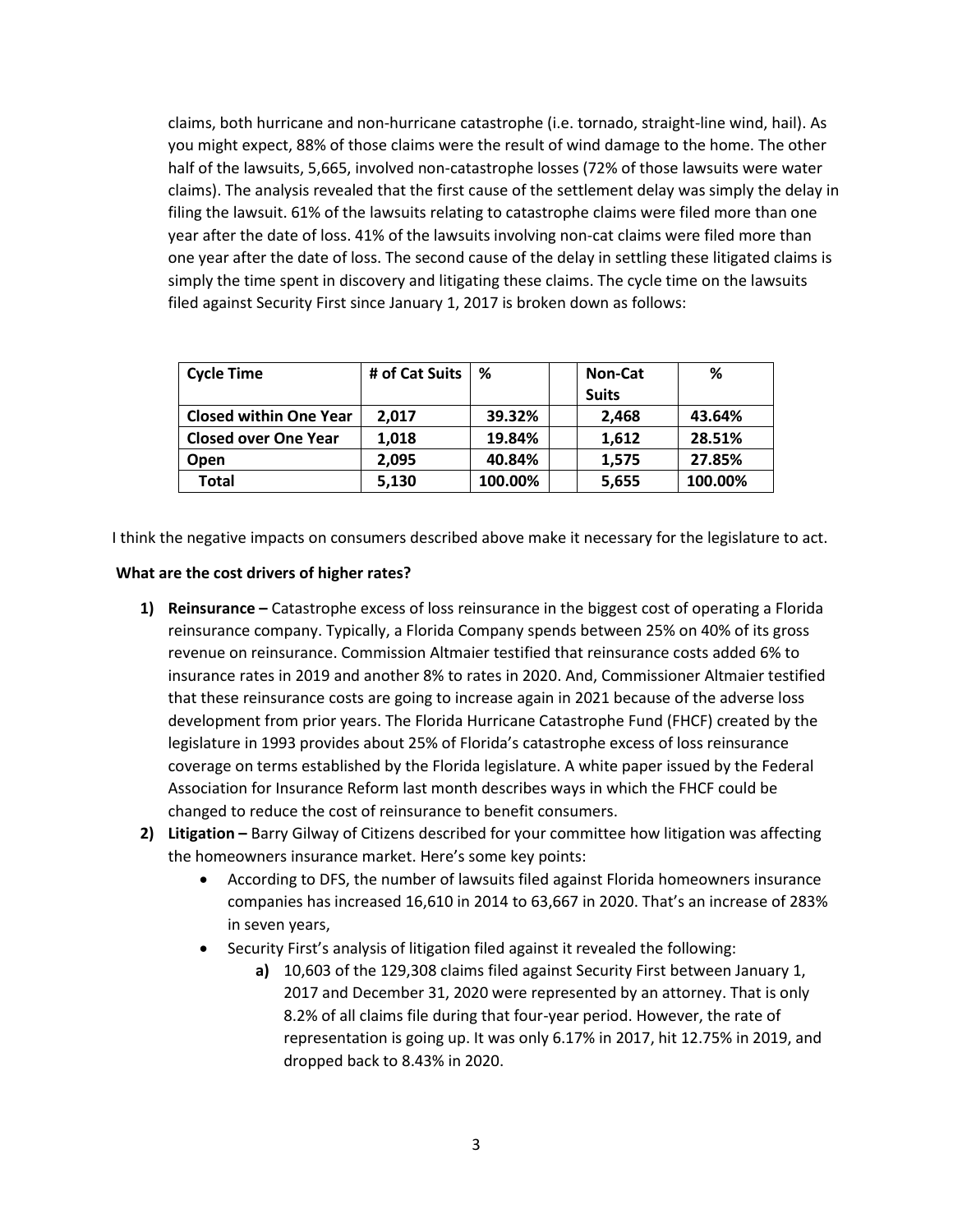claims, both hurricane and non-hurricane catastrophe (i.e. tornado, straight-line wind, hail). As you might expect, 88% of those claims were the result of wind damage to the home. The other half of the lawsuits, 5,665, involved non-catastrophe losses (72% of those lawsuits were water claims). The analysis revealed that the first cause of the settlement delay was simply the delay in filing the lawsuit. 61% of the lawsuits relating to catastrophe claims were filed more than one year after the date of loss. 41% of the lawsuits involving non-cat claims were filed more than one year after the date of loss. The second cause of the delay in settling these litigated claims is simply the time spent in discovery and litigating these claims. The cycle time on the lawsuits filed against Security First since January 1, 2017 is broken down as follows:

| <b>Cycle Time</b>             | # of Cat Suits | %       | <b>Non-Cat</b> | %       |
|-------------------------------|----------------|---------|----------------|---------|
|                               |                |         | <b>Suits</b>   |         |
| <b>Closed within One Year</b> | 2.017          | 39.32%  | 2.468          | 43.64%  |
| <b>Closed over One Year</b>   | 1.018          | 19.84%  | 1,612          | 28.51%  |
| <b>Open</b>                   | 2.095          | 40.84%  | 1,575          | 27.85%  |
| <b>Total</b>                  | 5,130          | 100.00% | 5,655          | 100.00% |

I think the negative impacts on consumers described above make it necessary for the legislature to act.

## **What are the cost drivers of higher rates?**

- **1) Reinsurance –** Catastrophe excess of loss reinsurance in the biggest cost of operating a Florida reinsurance company. Typically, a Florida Company spends between 25% on 40% of its gross revenue on reinsurance. Commission Altmaier testified that reinsurance costs added 6% to insurance rates in 2019 and another 8% to rates in 2020. And, Commissioner Altmaier testified that these reinsurance costs are going to increase again in 2021 because of the adverse loss development from prior years. The Florida Hurricane Catastrophe Fund (FHCF) created by the legislature in 1993 provides about 25% of Florida's catastrophe excess of loss reinsurance coverage on terms established by the Florida legislature. A white paper issued by the Federal Association for Insurance Reform last month describes ways in which the FHCF could be changed to reduce the cost of reinsurance to benefit consumers.
- **2) Litigation –** Barry Gilway of Citizens described for your committee how litigation was affecting the homeowners insurance market. Here's some key points:
	- According to DFS, the number of lawsuits filed against Florida homeowners insurance companies has increased 16,610 in 2014 to 63,667 in 2020. That's an increase of 283% in seven years,
	- Security First's analysis of litigation filed against it revealed the following:
		- **a)** 10,603 of the 129,308 claims filed against Security First between January 1, 2017 and December 31, 2020 were represented by an attorney. That is only 8.2% of all claims file during that four-year period. However, the rate of representation is going up. It was only 6.17% in 2017, hit 12.75% in 2019, and dropped back to 8.43% in 2020.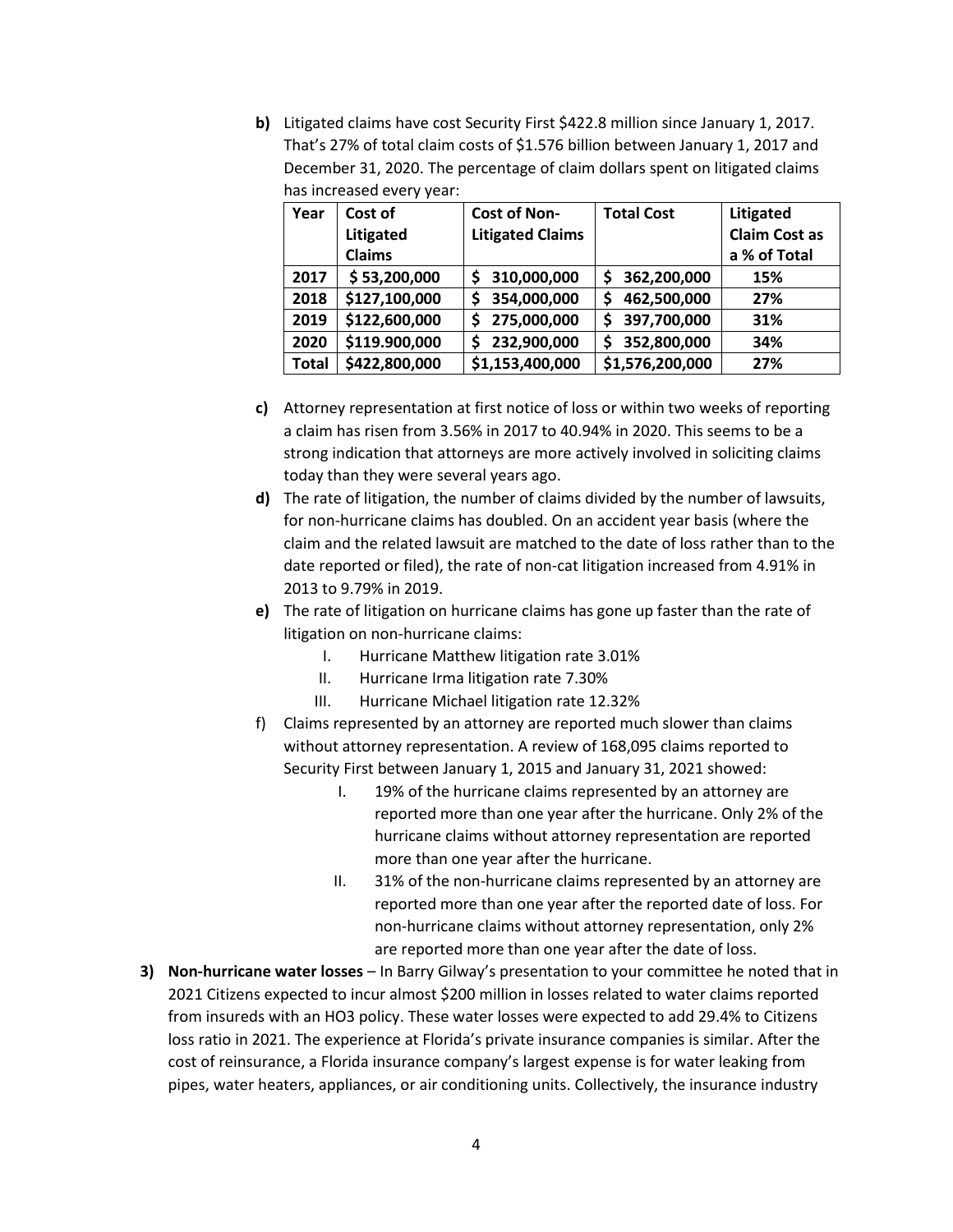**b)** Litigated claims have cost Security First \$422.8 million since January 1, 2017. That's 27% of total claim costs of \$1.576 billion between January 1, 2017 and December 31, 2020. The percentage of claim dollars spent on litigated claims has increased every year:

| Year         | Cost of       | <b>Cost of Non-</b>     | <b>Total Cost</b> | Litigated            |
|--------------|---------------|-------------------------|-------------------|----------------------|
|              | Litigated     | <b>Litigated Claims</b> |                   | <b>Claim Cost as</b> |
|              | <b>Claims</b> |                         |                   | a % of Total         |
| 2017         | \$53,200,000  | 310,000,000<br>\$       | 362,200,000<br>\$ | 15%                  |
| 2018         | \$127,100,000 | 354,000,000<br>\$       | 462,500,000<br>S  | 27%                  |
| 2019         | \$122,600,000 | 275,000,000<br>S        | 397,700,000<br>S  | 31%                  |
| 2020         | \$119.900,000 | 232,900,000<br>\$       | 352,800,000<br>Ś  | 34%                  |
| <b>Total</b> | \$422,800,000 | \$1,153,400,000         | \$1,576,200,000   | 27%                  |

- **c)** Attorney representation at first notice of loss or within two weeks of reporting a claim has risen from 3.56% in 2017 to 40.94% in 2020. This seems to be a strong indication that attorneys are more actively involved in soliciting claims today than they were several years ago.
- **d)** The rate of litigation, the number of claims divided by the number of lawsuits, for non-hurricane claims has doubled. On an accident year basis (where the claim and the related lawsuit are matched to the date of loss rather than to the date reported or filed), the rate of non-cat litigation increased from 4.91% in 2013 to 9.79% in 2019.
- **e)** The rate of litigation on hurricane claims has gone up faster than the rate of litigation on non-hurricane claims:
	- I. Hurricane Matthew litigation rate 3.01%
	- II. Hurricane Irma litigation rate 7.30%
	- III. Hurricane Michael litigation rate 12.32%
- f) Claims represented by an attorney are reported much slower than claims without attorney representation. A review of 168,095 claims reported to Security First between January 1, 2015 and January 31, 2021 showed:
	- I. 19% of the hurricane claims represented by an attorney are reported more than one year after the hurricane. Only 2% of the hurricane claims without attorney representation are reported more than one year after the hurricane.
	- II. 31% of the non-hurricane claims represented by an attorney are reported more than one year after the reported date of loss. For non-hurricane claims without attorney representation, only 2% are reported more than one year after the date of loss.
- **3) Non-hurricane water losses** In Barry Gilway's presentation to your committee he noted that in 2021 Citizens expected to incur almost \$200 million in losses related to water claims reported from insureds with an HO3 policy. These water losses were expected to add 29.4% to Citizens loss ratio in 2021. The experience at Florida's private insurance companies is similar. After the cost of reinsurance, a Florida insurance company's largest expense is for water leaking from pipes, water heaters, appliances, or air conditioning units. Collectively, the insurance industry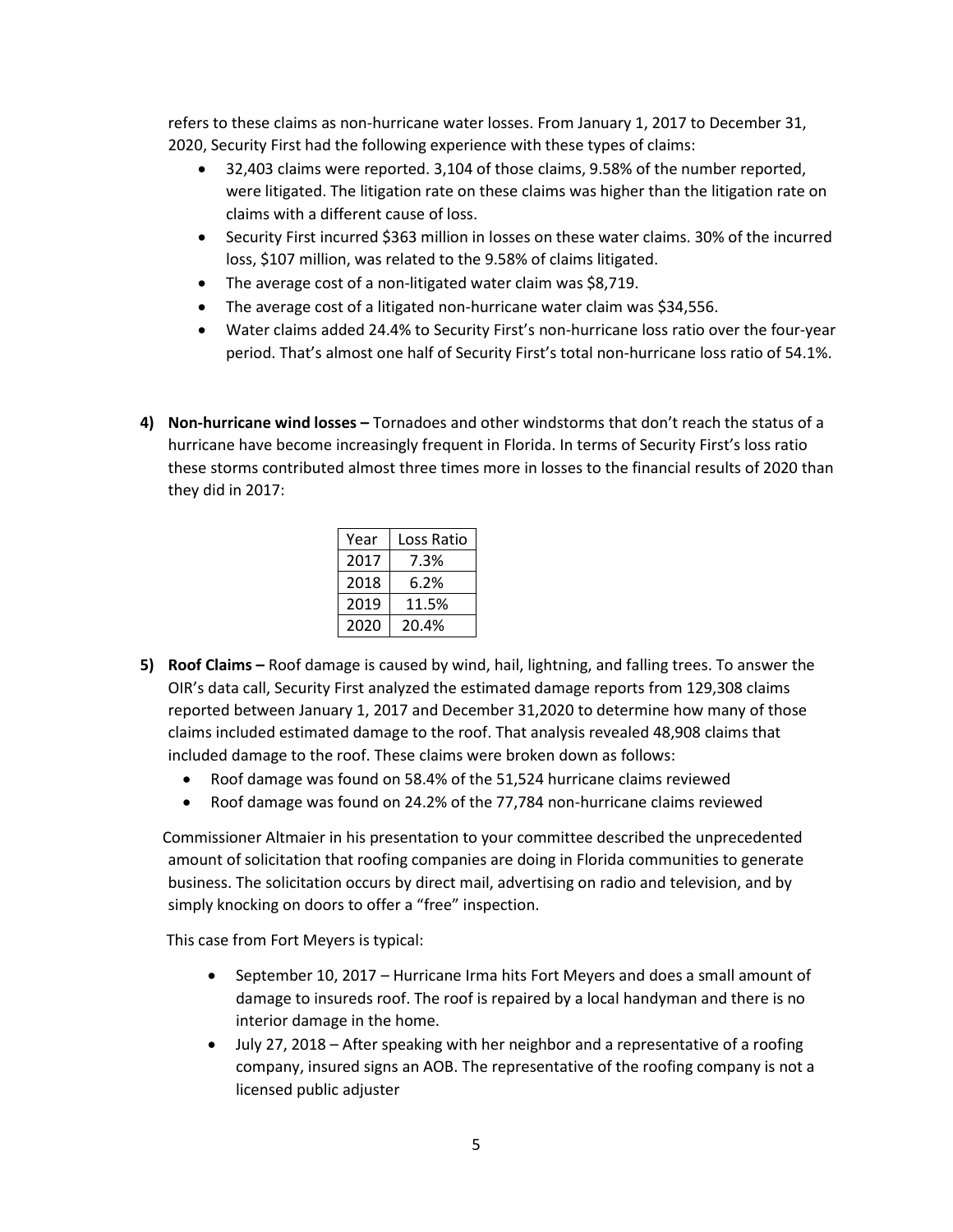refers to these claims as non-hurricane water losses. From January 1, 2017 to December 31, 2020, Security First had the following experience with these types of claims:

- 32,403 claims were reported. 3,104 of those claims, 9.58% of the number reported, were litigated. The litigation rate on these claims was higher than the litigation rate on claims with a different cause of loss.
- Security First incurred \$363 million in losses on these water claims. 30% of the incurred loss, \$107 million, was related to the 9.58% of claims litigated.
- The average cost of a non-litigated water claim was \$8,719.
- The average cost of a litigated non-hurricane water claim was \$34,556.
- Water claims added 24.4% to Security First's non-hurricane loss ratio over the four-year period. That's almost one half of Security First's total non-hurricane loss ratio of 54.1%.
- **4) Non-hurricane wind losses –** Tornadoes and other windstorms that don't reach the status of a hurricane have become increasingly frequent in Florida. In terms of Security First's loss ratio these storms contributed almost three times more in losses to the financial results of 2020 than they did in 2017:

| Year | Loss Ratio |
|------|------------|
| 2017 | 7.3%       |
| 2018 | 6.2%       |
| 2019 | 11.5%      |
| 2020 | 20.4%      |

- **5) Roof Claims –** Roof damage is caused by wind, hail, lightning, and falling trees. To answer the OIR's data call, Security First analyzed the estimated damage reports from 129,308 claims reported between January 1, 2017 and December 31,2020 to determine how many of those claims included estimated damage to the roof. That analysis revealed 48,908 claims that included damage to the roof. These claims were broken down as follows:
	- Roof damage was found on 58.4% of the 51,524 hurricane claims reviewed
	- Roof damage was found on 24.2% of the 77,784 non-hurricane claims reviewed

 Commissioner Altmaier in his presentation to your committee described the unprecedented amount of solicitation that roofing companies are doing in Florida communities to generate business. The solicitation occurs by direct mail, advertising on radio and television, and by simply knocking on doors to offer a "free" inspection.

This case from Fort Meyers is typical:

- September 10, 2017 Hurricane Irma hits Fort Meyers and does a small amount of damage to insureds roof. The roof is repaired by a local handyman and there is no interior damage in the home.
- July 27, 2018 After speaking with her neighbor and a representative of a roofing company, insured signs an AOB. The representative of the roofing company is not a licensed public adjuster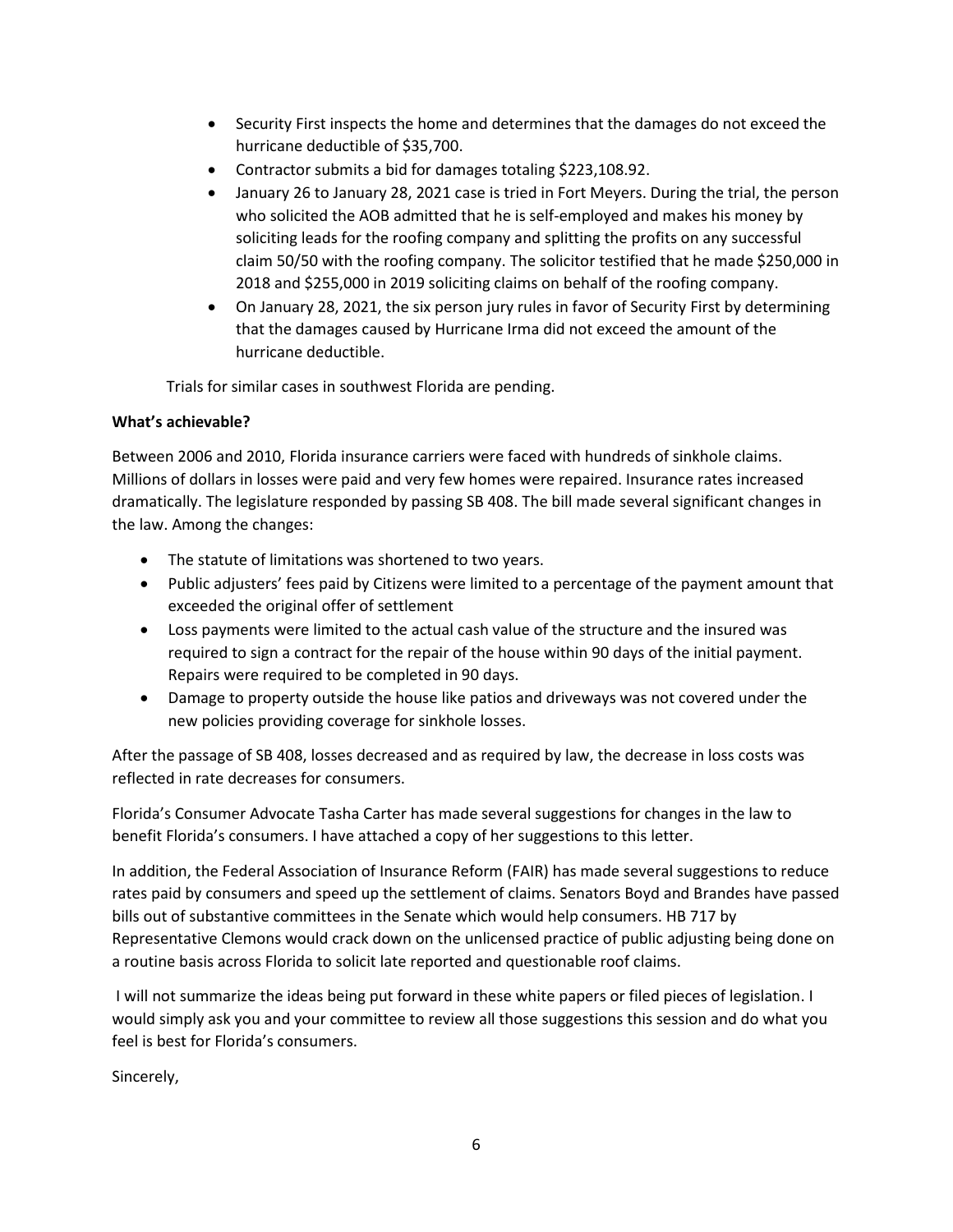- Security First inspects the home and determines that the damages do not exceed the hurricane deductible of \$35,700.
- Contractor submits a bid for damages totaling \$223,108.92.
- January 26 to January 28, 2021 case is tried in Fort Meyers. During the trial, the person who solicited the AOB admitted that he is self-employed and makes his money by soliciting leads for the roofing company and splitting the profits on any successful claim 50/50 with the roofing company. The solicitor testified that he made \$250,000 in 2018 and \$255,000 in 2019 soliciting claims on behalf of the roofing company.
- On January 28, 2021, the six person jury rules in favor of Security First by determining that the damages caused by Hurricane Irma did not exceed the amount of the hurricane deductible.

Trials for similar cases in southwest Florida are pending.

## **What's achievable?**

Between 2006 and 2010, Florida insurance carriers were faced with hundreds of sinkhole claims. Millions of dollars in losses were paid and very few homes were repaired. Insurance rates increased dramatically. The legislature responded by passing SB 408. The bill made several significant changes in the law. Among the changes:

- The statute of limitations was shortened to two years.
- Public adjusters' fees paid by Citizens were limited to a percentage of the payment amount that exceeded the original offer of settlement
- Loss payments were limited to the actual cash value of the structure and the insured was required to sign a contract for the repair of the house within 90 days of the initial payment. Repairs were required to be completed in 90 days.
- Damage to property outside the house like patios and driveways was not covered under the new policies providing coverage for sinkhole losses.

After the passage of SB 408, losses decreased and as required by law, the decrease in loss costs was reflected in rate decreases for consumers.

Florida's Consumer Advocate Tasha Carter has made several suggestions for changes in the law to benefit Florida's consumers. I have attached a copy of her suggestions to this letter.

In addition, the Federal Association of Insurance Reform (FAIR) has made several suggestions to reduce rates paid by consumers and speed up the settlement of claims. Senators Boyd and Brandes have passed bills out of substantive committees in the Senate which would help consumers. HB 717 by Representative Clemons would crack down on the unlicensed practice of public adjusting being done on a routine basis across Florida to solicit late reported and questionable roof claims.

I will not summarize the ideas being put forward in these white papers or filed pieces of legislation. I would simply ask you and your committee to review all those suggestions this session and do what you feel is best for Florida's consumers.

Sincerely,